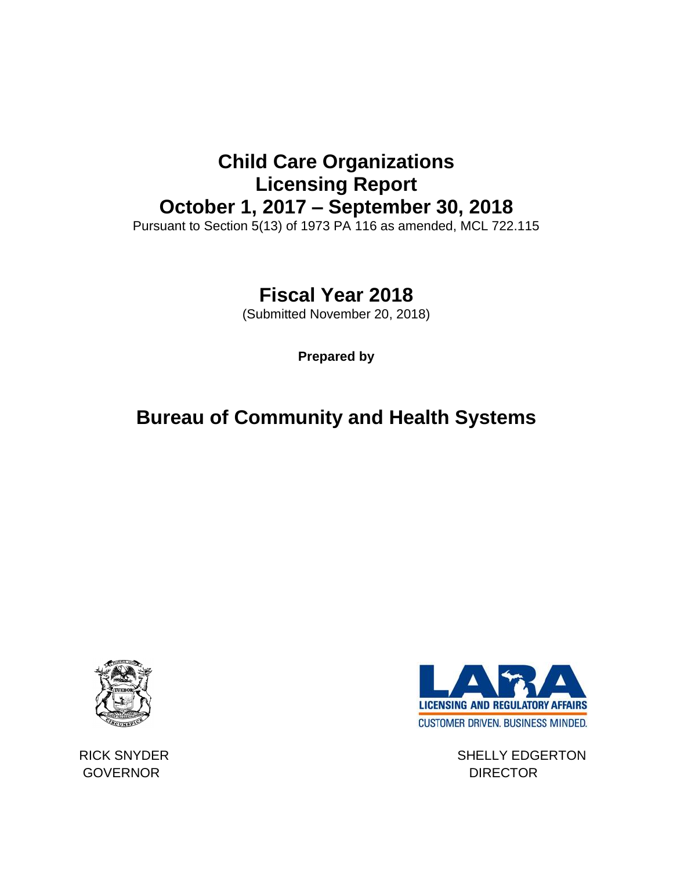# **Child Care Organizations Licensing Report October 1, 2017 – September 30, 2018**

Pursuant to Section 5(13) of 1973 PA 116 as amended, MCL 722.115

# **Fiscal Year 2018**

(Submitted November 20, 2018)

**Prepared by**

# **Bureau of Community and Health Systems**



GOVERNOR DIRECTOR



RICK SNYDER SHELLY EDGERTON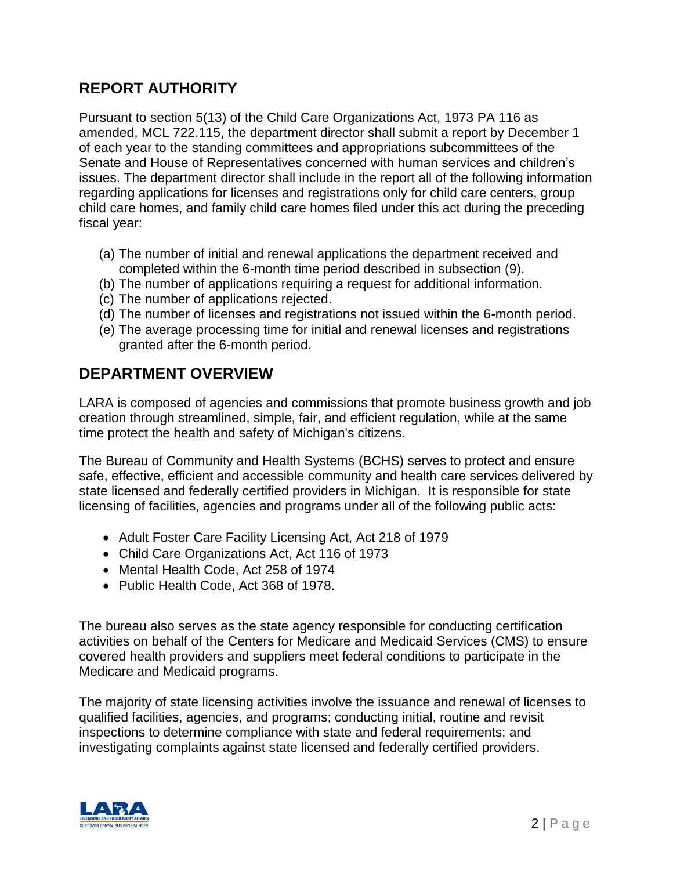## **REPORT AUTHORITY**

Pursuant to section 5(13) of the Child Care Organizations Act, 1973 PA 116 as amended, MCL 722.115, the department director shall submit a report by December 1 of each year to the standing committees and appropriations subcommittees of the Senate and House of Representatives concerned with human services and children's issues. The department director shall include in the report all of the following information regarding applications for licenses and registrations only for child care centers, group child care homes, and family child care homes filed under this act during the preceding fiscal year:

- (a) The number of initial and renewal applications the department received and completed within the 6-month time period described in subsection (9).
- (b) The number of applications requiring a request for additional information.
- (c) The number of applications rejected.
- (d) The number of licenses and registrations not issued within the 6-month period.
- (e) The average processing time for initial and renewal licenses and registrations granted after the 6-month period.

### **DEPARTMENT OVERVIEW**

LARA is composed of agencies and commissions that promote business growth and job creation through streamlined, simple, fair, and efficient regulation, while at the same time protect the health and safety of Michigan's citizens.

The Bureau of Community and Health Systems (BCHS) serves to protect and ensure safe, effective, efficient and accessible community and health care services delivered by state licensed and federally certified providers in Michigan. It is responsible for state licensing of facilities, agencies and programs under all of the following public acts:

- Adult Foster Care Facility Licensing Act, Act 218 of 1979
- Child Care Organizations Act, Act 116 of 1973
- Mental Health Code, Act 258 of 1974
- Public Health Code, Act 368 of 1978.

The bureau also serves as the state agency responsible for conducting certification activities on behalf of the Centers for Medicare and Medicaid Services (CMS) to ensure covered health providers and suppliers meet federal conditions to participate in the Medicare and Medicaid programs.

The majority of state licensing activities involve the issuance and renewal of licenses to qualified facilities, agencies, and programs; conducting initial, routine and revisit inspections to determine compliance with state and federal requirements; and investigating complaints against state licensed and federally certified providers.

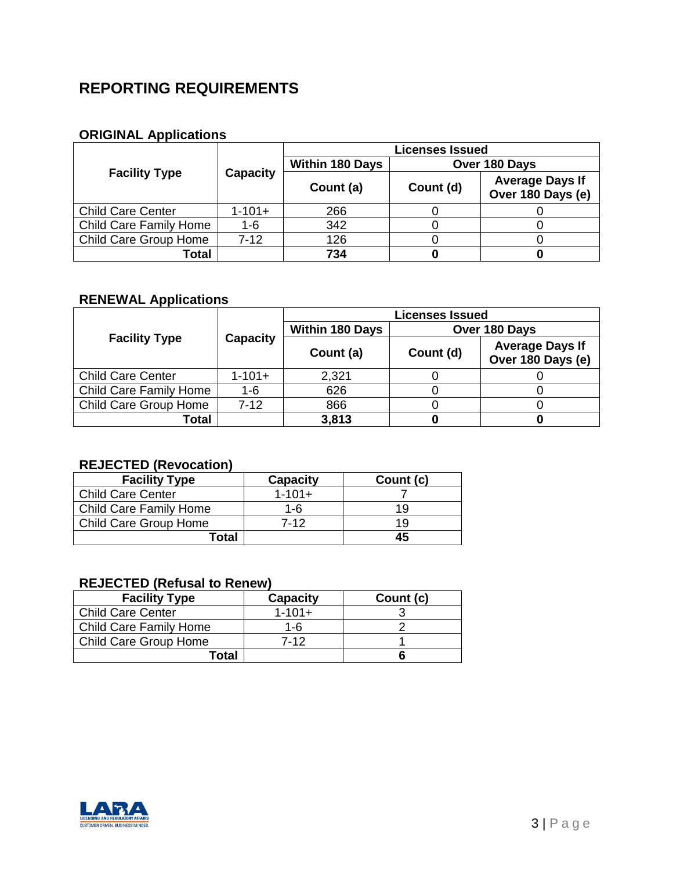## **REPORTING REQUIREMENTS**

#### **ORIGINAL Applications**

|                               | Capacity    | <b>Licenses Issued</b>                  |           |                                             |
|-------------------------------|-------------|-----------------------------------------|-----------|---------------------------------------------|
| <b>Facility Type</b>          |             | <b>Within 180 Days</b><br>Over 180 Days |           |                                             |
|                               |             | Count (a)                               | Count (d) | <b>Average Days If</b><br>Over 180 Days (e) |
| <b>Child Care Center</b>      | $1 - 101 +$ | 266                                     |           |                                             |
| <b>Child Care Family Home</b> | $1 - 6$     | 342                                     |           |                                             |
| Child Care Group Home         | $7-12$      | 126                                     |           |                                             |
| Total                         |             | 734                                     |           |                                             |

#### **RENEWAL Applications**

|                          |                 | <b>Licenses Issued</b> |               |                                             |
|--------------------------|-----------------|------------------------|---------------|---------------------------------------------|
| <b>Facility Type</b>     | <b>Capacity</b> | <b>Within 180 Days</b> | Over 180 Days |                                             |
|                          |                 | Count (a)              | Count (d)     | <b>Average Days If</b><br>Over 180 Days (e) |
| <b>Child Care Center</b> | $1 - 101 +$     | 2,321                  |               |                                             |
| Child Care Family Home   | 1-6             | 626                    |               |                                             |
| Child Care Group Home    | $7-12$          | 866                    |               |                                             |
| Total                    |                 | 3,813                  |               |                                             |

### **REJECTED (Revocation)**

| <b>Facility Type</b>          | <b>Capacity</b> | Count (c) |
|-------------------------------|-----------------|-----------|
| <b>Child Care Center</b>      | $1 - 101 +$     |           |
| <b>Child Care Family Home</b> | 1-6             | 1 Q       |
| <b>Child Care Group Home</b>  | 7-12            | 19        |
| Total                         |                 | 45        |

### **REJECTED (Refusal to Renew)**

| <b>Facility Type</b>     | <b>Capacity</b> | Count (c) |
|--------------------------|-----------------|-----------|
| <b>Child Care Center</b> | $1 - 101 +$     |           |
| Child Care Family Home   | 1-6             |           |
| Child Care Group Home    | 7-12            |           |
| Total                    |                 |           |